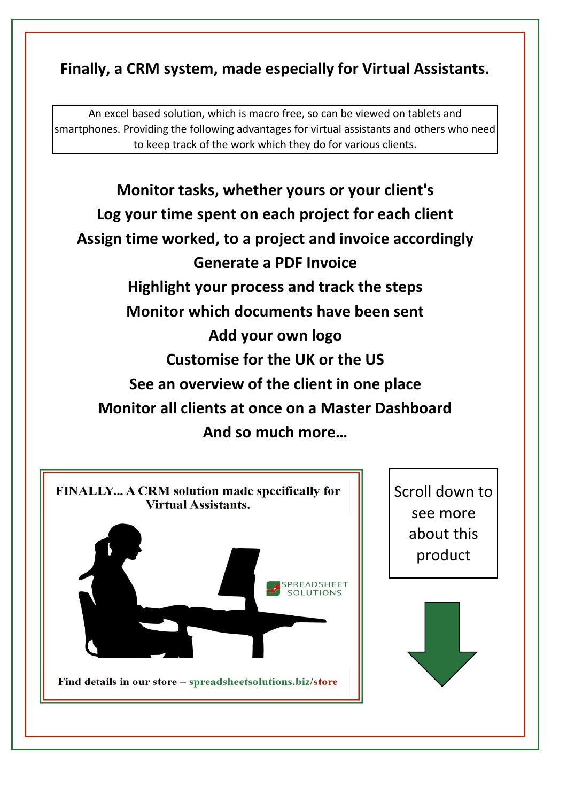## **Finally, a CRM system, made especially for Virtual Assistants.**

An excel based solution, which is macro free, so can be viewed on tablets and smartphones. Providing the following advantages for virtual assistants and others who need to keep track of the work which they do for various clients.



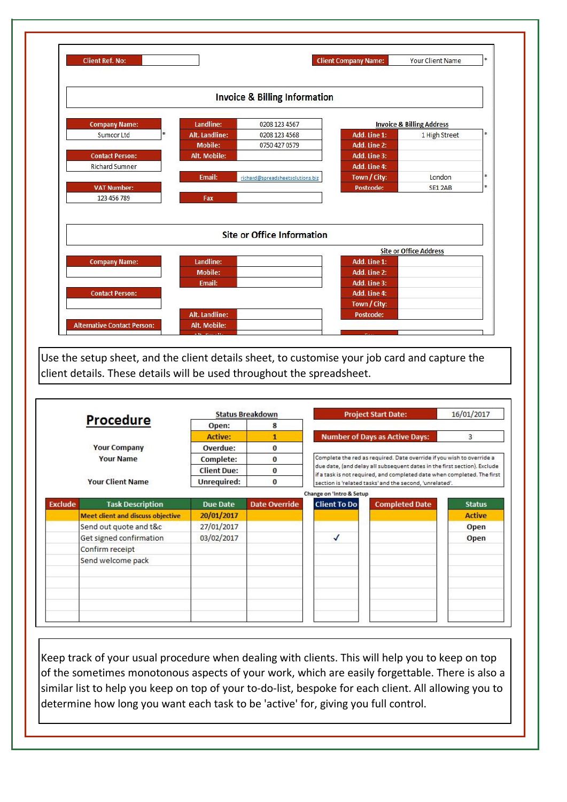| <b>Client Ref. No:</b> |        |                |                                          | <b>Client Company Name:</b> | Your Client Name                     |     |
|------------------------|--------|----------------|------------------------------------------|-----------------------------|--------------------------------------|-----|
|                        |        |                |                                          |                             |                                      |     |
|                        |        |                | <b>Invoice &amp; Billing Information</b> |                             |                                      |     |
| <b>Company Name:</b>   |        | Landline:      | 0208 123 4567                            |                             | <b>Invoice &amp; Billing Address</b> |     |
| Sumcor Ltd             | $\ast$ | Alt. Landline: | 0208 123 4568                            | Add. Line 1:                | 1 High Street                        |     |
|                        |        | <b>Mobile:</b> | 0750 427 0579                            | Add. Line 2:                |                                      |     |
| <b>Contact Person:</b> |        | Alt. Mobile:   |                                          | Add. Line 3:                |                                      |     |
| <b>Richard Sumner</b>  |        |                |                                          | Add. Line 4:                |                                      |     |
|                        |        | Email:         | richard@spreadsheetsolutions.biz         | Town / City:                | London                               |     |
|                        |        |                |                                          |                             |                                      |     |
| <b>VAT Number:</b>     |        |                |                                          | Postcode:                   | <b>SE1 2AB</b>                       |     |
| 123 456 789            |        | Fax            |                                          |                             |                                      |     |
|                        |        |                | <b>Site or Office Information</b>        |                             | <b>Site or Office Address</b>        |     |
| <b>Company Name:</b>   |        | Landline:      |                                          | Add. Line 1:                |                                      |     |
|                        |        | <b>Mobile:</b> |                                          | Add. Line 2:                |                                      |     |
|                        |        | Email:         |                                          | Add. Line 3:                |                                      |     |
| <b>Contact Person:</b> |        |                |                                          | Add. Line 4:                |                                      |     |
|                        |        |                |                                          |                             |                                      |     |
|                        |        | Alt. Landline: |                                          | Town / City:<br>Postcode:   |                                      | l≉. |

Use the setup sheet, and the client details sheet, to customise your job card and capture the client details. These details will be used throughout the spreadsheet.

|                |                                          |                    | <b>Status Breakdown</b> |                          | <b>Project Start Date:</b>                                            | 16/01/2017                                                                                                                                          |  |  |
|----------------|------------------------------------------|--------------------|-------------------------|--------------------------|-----------------------------------------------------------------------|-----------------------------------------------------------------------------------------------------------------------------------------------------|--|--|
|                | <b>Procedure</b>                         | Open:              | 8                       |                          |                                                                       |                                                                                                                                                     |  |  |
|                |                                          | <b>Active:</b>     | 1                       |                          | <b>Number of Days as Active Days:</b>                                 | 3                                                                                                                                                   |  |  |
|                | <b>Your Company</b>                      | Overdue:           | 0                       |                          |                                                                       |                                                                                                                                                     |  |  |
|                | <b>Your Name</b>                         | Complete:          | $\bf{0}$                |                          | Complete the red as required. Date override if you wish to override a |                                                                                                                                                     |  |  |
|                |                                          | <b>Client Due:</b> | $\bf{0}$                |                          |                                                                       | due date, (and delay all subsequent dates in the first section). Exclude<br>if a task is not required, and completed date when completed. The first |  |  |
|                | <b>Your Client Name</b>                  | <b>Unrequired:</b> | 0                       |                          | section is 'related tasks' and the second, 'unrelated'.               |                                                                                                                                                     |  |  |
|                |                                          |                    |                         | Change on 'Intro & Setup |                                                                       |                                                                                                                                                     |  |  |
| <b>Exclude</b> | <b>Task Description</b>                  | Due Date           | <b>Date Override</b>    | <b>Client To Do</b>      | <b>Completed Date</b>                                                 | <b>Status</b>                                                                                                                                       |  |  |
|                | <b>Meet client and discuss objective</b> | 20/01/2017         |                         |                          |                                                                       | <b>Active</b>                                                                                                                                       |  |  |
|                | Send out quote and t&c                   | 27/01/2017         |                         |                          |                                                                       | Open                                                                                                                                                |  |  |
|                | Get signed confirmation                  | 03/02/2017         |                         |                          |                                                                       | Open                                                                                                                                                |  |  |
|                | Confirm receipt                          |                    |                         |                          |                                                                       |                                                                                                                                                     |  |  |
|                | Send welcome pack                        |                    |                         |                          |                                                                       |                                                                                                                                                     |  |  |
|                |                                          |                    |                         |                          |                                                                       |                                                                                                                                                     |  |  |
|                |                                          |                    |                         |                          |                                                                       |                                                                                                                                                     |  |  |
|                |                                          |                    |                         |                          |                                                                       |                                                                                                                                                     |  |  |
|                |                                          |                    |                         |                          |                                                                       |                                                                                                                                                     |  |  |
|                |                                          |                    |                         |                          |                                                                       |                                                                                                                                                     |  |  |

Keep track of your usual procedure when dealing with clients. This will help you to keep on top of the sometimes monotonous aspects of your work, which are easily forgettable. There is also a similar list to help you keep on top of your to-do-list, bespoke for each client. All allowing you to determine how long you want each task to be 'active' for, giving you full control.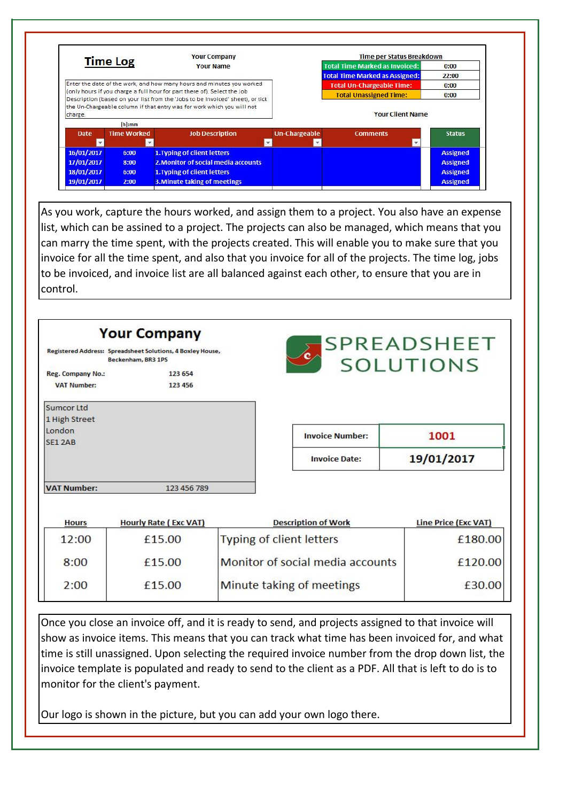|                                        |                                 | <b>Your Company</b>                                                                                                                                        | <b>Time per Status Breakdown</b>      |                                       |                 |  |
|----------------------------------------|---------------------------------|------------------------------------------------------------------------------------------------------------------------------------------------------------|---------------------------------------|---------------------------------------|-----------------|--|
|                                        | <b>Time Log</b>                 | <b>Your Name</b>                                                                                                                                           | <b>Total Time Marked as Invoiced:</b> | 0:00                                  |                 |  |
|                                        |                                 |                                                                                                                                                            |                                       | <b>Total Time Marked as Assigned:</b> | 22:00           |  |
|                                        |                                 | Enter the date of the work, and how many hours and minutes you worked                                                                                      |                                       | <b>Total Un-Chargeable Time:</b>      | 0:00            |  |
|                                        |                                 | (only hours if you charge a full hour for part there of). Select the Job<br>Description (based on your list from the 'Jobs to be Invoiced' sheet), or tick |                                       | <b>Total Unassigned Time:</b>         | 0:00            |  |
|                                        | $[h]$ :mm<br><b>Time Worked</b> | <b>Job Description</b>                                                                                                                                     |                                       |                                       |                 |  |
|                                        |                                 |                                                                                                                                                            | <b>Un-Chargeable</b>                  | <b>Comments</b>                       | <b>Status</b>   |  |
| Date                                   |                                 |                                                                                                                                                            |                                       |                                       |                 |  |
|                                        | 6:00                            | <b>1. Typing of client letters</b>                                                                                                                         |                                       |                                       | <b>Assigned</b> |  |
|                                        | 8:00                            | 2. Monitor of social media accounts                                                                                                                        |                                       |                                       | <b>Assigned</b> |  |
| 16/01/2017<br>17/01/2017<br>18/01/2017 | 6:00                            | <b>1. Typing of client letters</b>                                                                                                                         |                                       |                                       | <b>Assigned</b> |  |

As you work, capture the hours worked, and assign them to a project. You also have an expense list, which can be assined to a project. The projects can also be managed, which means that you can marry the time spent, with the projects created. This will enable you to make sure that you invoice for all the time spent, and also that you invoice for all of the projects. The time log, jobs to be invoiced, and invoice list are all balanced against each other, to ensure that you are in control.

|                             | <b>Your Company</b><br>Registered Address: Spreadsheet Solutions, 4 Boxley House,<br>Beckenham, BR3 1PS |                                  | <b>SPREADSHEET</b><br><b>SOLUTIONS</b> |  |  |
|-----------------------------|---------------------------------------------------------------------------------------------------------|----------------------------------|----------------------------------------|--|--|
| <b>Reg. Company No.:</b>    | 123 654                                                                                                 |                                  |                                        |  |  |
| <b>VAT Number:</b>          | 123 456                                                                                                 |                                  |                                        |  |  |
| Sumcor Ltd<br>1 High Street |                                                                                                         |                                  |                                        |  |  |
| London<br><b>SE1 2AB</b>    |                                                                                                         | <b>Invoice Number:</b>           | 1001                                   |  |  |
|                             |                                                                                                         | <b>Invoice Date:</b>             | 19/01/2017                             |  |  |
| <b>VAT Number:</b>          | 123 456 789                                                                                             |                                  |                                        |  |  |
| <b>Hours</b>                | <b>Hourly Rate (Exc VAT)</b>                                                                            | <b>Description of Work</b>       | Line Price (Exc VAT)                   |  |  |
| 12:00                       | £15.00                                                                                                  | <b>Typing of client letters</b>  | £180.00                                |  |  |
| 8:00                        | £15.00                                                                                                  | Monitor of social media accounts | £120.00                                |  |  |
|                             |                                                                                                         |                                  | £30.00                                 |  |  |

Once you close an invoice off, and it is ready to send, and projects assigned to that invoice will show as invoice items. This means that you can track what time has been invoiced for, and what time is still unassigned. Upon selecting the required invoice number from the drop down list, the invoice template is populated and ready to send to the client as a PDF. All that is left to do is to monitor for the client's payment.

Our logo is shown in the picture, but you can add your own logo there.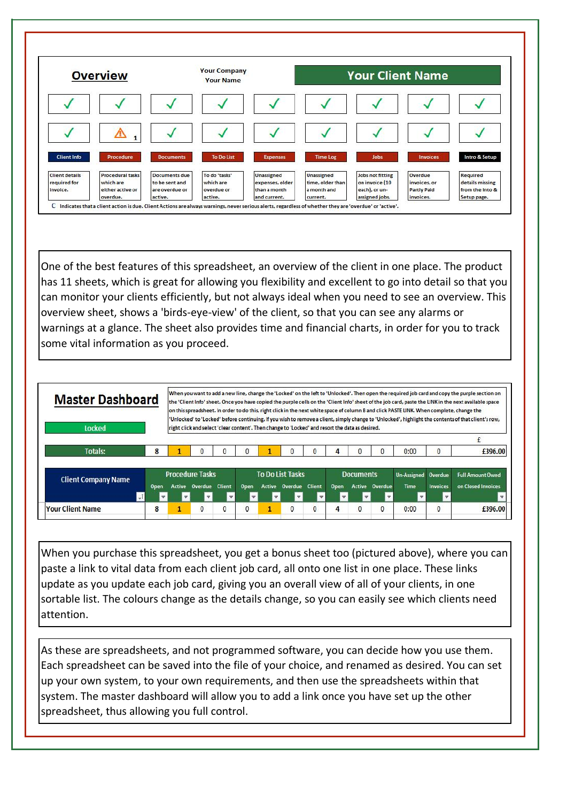|                                                   | <b>Overview</b>                                                      |                                                                     | <b>Your Company</b><br><b>Your Name</b>             |                                                                      | <b>Your Client Name</b>                                          |                                                                              |                                                            |                                                               |  |  |  |
|---------------------------------------------------|----------------------------------------------------------------------|---------------------------------------------------------------------|-----------------------------------------------------|----------------------------------------------------------------------|------------------------------------------------------------------|------------------------------------------------------------------------------|------------------------------------------------------------|---------------------------------------------------------------|--|--|--|
|                                                   |                                                                      |                                                                     |                                                     |                                                                      |                                                                  |                                                                              |                                                            |                                                               |  |  |  |
|                                                   | $\overline{\mathbf{1}}$                                              |                                                                     |                                                     |                                                                      |                                                                  |                                                                              |                                                            |                                                               |  |  |  |
| <b>Client Info</b>                                | <b>Procedure</b>                                                     | <b>Documents</b>                                                    | <b>To Do List</b>                                   | <b>Expenses</b>                                                      | <b>Time Log</b>                                                  | Jobs                                                                         | Invoices                                                   | Intro & Setup                                                 |  |  |  |
| <b>Client details</b><br>required for<br>invoice. | <b>Procedural tasks</b><br>which are<br>either active or<br>overdue. | <b>Documents due</b><br>to be sent and<br>are overdue or<br>active. | To do 'tasks'<br>which are<br>overdue or<br>active. | <b>Unassigned</b><br>expenses, older<br>than a month<br>and current. | <b>Unassigned</b><br>time, older than<br>a month and<br>current. | <b>Jobs not fitting</b><br>on invoice (10<br>each), or un-<br>assigned jobs. | Overdue<br>invoices, or<br><b>Partly Paid</b><br>invoices. | Required<br>details missing<br>from the Into &<br>Setup page. |  |  |  |

One of the best features of this spreadsheet, an overview of the client in one place. The product has 11 sheets, which is great for allowing you flexibility and excellent to go into detail so that you can monitor your clients efficiently, but not always ideal when you need to see an overview. This overview sheet, shows a 'birds-eye-view' of the client, so that you can see any alarms or warnings at a glance. The sheet also provides time and financial charts, in order for you to track some vital information as you proceed.

| <b>Master Dashboard</b><br>Locked |             |                              |   |      |        | right click and select 'clear content'. Then change to 'Locked' and resort the data as desired. |                |                         |                  |                       | on this spreadsheet. In order to do this, right click in the next white space of column B and click PASTE LINK. When complete, change the |              | When you want to add a new line, change the 'Locked' on the left to 'Unlocked'. Then open the required job card and copy the purple section on<br>the 'Client Info' sheet. Once you have copied the purple cells on the 'Client Info' sheet of the job card, paste the LINK in the next available space<br>'Unlocked' to 'Locked' before continuing. If you wish to remove a client, simply change to 'Unlocked', highlight the contents of that client's row, |
|-----------------------------------|-------------|------------------------------|---|------|--------|-------------------------------------------------------------------------------------------------|----------------|-------------------------|------------------|-----------------------|-------------------------------------------------------------------------------------------------------------------------------------------|--------------|----------------------------------------------------------------------------------------------------------------------------------------------------------------------------------------------------------------------------------------------------------------------------------------------------------------------------------------------------------------------------------------------------------------------------------------------------------------|
|                                   |             |                              |   |      |        |                                                                                                 |                |                         |                  |                       |                                                                                                                                           |              |                                                                                                                                                                                                                                                                                                                                                                                                                                                                |
| <b>Totals:</b>                    | 8           |                              |   |      |        |                                                                                                 |                |                         |                  | 0                     | 0:00                                                                                                                                      | $\mathbf{0}$ | £396.00                                                                                                                                                                                                                                                                                                                                                                                                                                                        |
| <b>Client Company Name</b>        |             | <b>Procedure Tasks</b>       |   |      |        | <b>To Do List Tasks</b>                                                                         |                |                         | <b>Documents</b> |                       | <b>Un-Assigned Overdue</b>                                                                                                                |              | <b>Full Amount Owed</b>                                                                                                                                                                                                                                                                                                                                                                                                                                        |
|                                   | <b>Open</b> | <b>Active Overdue Client</b> |   | Open | Active | Overdue Client                                                                                  |                | <b>Open</b>             |                  | <b>Active Overdue</b> | <b>Time</b>                                                                                                                               | Invoices     | on Closed Invoices                                                                                                                                                                                                                                                                                                                                                                                                                                             |
|                                   |             |                              |   |      |        |                                                                                                 |                | $\overline{\mathbf{v}}$ |                  |                       |                                                                                                                                           |              |                                                                                                                                                                                                                                                                                                                                                                                                                                                                |
| <b>Your Client Name</b>           | 8           |                              | 0 |      |        | 0                                                                                               | $\overline{0}$ | 4                       |                  | $\mathbf{0}$          | 0:00                                                                                                                                      | $\Omega$     | £396.00                                                                                                                                                                                                                                                                                                                                                                                                                                                        |

When you purchase this spreadsheet, you get a bonus sheet too (pictured above), where you can paste a link to vital data from each client job card, all onto one list in one place. These links update as you update each job card, giving you an overall view of all of your clients, in one sortable list. The colours change as the details change, so you can easily see which clients need attention.

As these are spreadsheets, and not programmed software, you can decide how you use them. Each spreadsheet can be saved into the file of your choice, and renamed as desired. You can set up your own system, to your own requirements, and then use the spreadsheets within that system. The master dashboard will allow you to add a link once you have set up the other spreadsheet, thus allowing you full control.